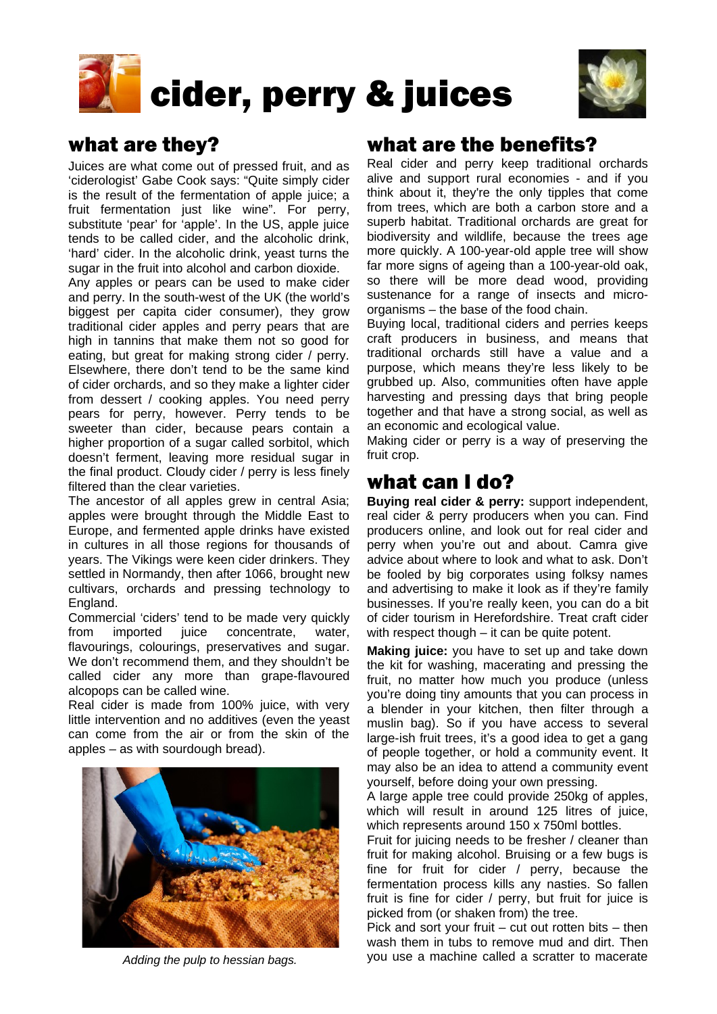



# what are they?

Juices are what come out of pressed fruit, and as 'ciderologist' Gabe Cook says: "Quite simply cider is the result of the fermentation of apple juice; a fruit fermentation just like wine". For perry, substitute 'pear' for 'apple'. In the US, apple juice tends to be called cider, and the alcoholic drink, 'hard' cider. In the alcoholic drink, yeast turns the sugar in the fruit into alcohol and carbon dioxide.

Any apples or pears can be used to make cider and perry. In the south-west of the UK (the world's biggest per capita cider consumer), they grow traditional cider apples and perry pears that are high in tannins that make them not so good for eating, but great for making strong cider / perry. Elsewhere, there don't tend to be the same kind of cider orchards, and so they make a lighter cider from dessert / cooking apples. You need perry pears for perry, however. Perry tends to be sweeter than cider, because pears contain a higher proportion of a sugar called sorbitol, which doesn't ferment, leaving more residual sugar in the final product. Cloudy cider / perry is less finely filtered than the clear varieties.

The ancestor of all apples grew in central Asia; apples were brought through the Middle East to Europe, and fermented apple drinks have existed in cultures in all those regions for thousands of years. The Vikings were keen cider drinkers. They settled in Normandy, then after 1066, brought new cultivars, orchards and pressing technology to England.

Commercial 'ciders' tend to be made very quickly from imported juice concentrate, water, flavourings, colourings, preservatives and sugar. We don't recommend them, and they shouldn't be called cider any more than grape-flavoured alcopops can be called wine.

Real cider is made from 100% juice, with very little intervention and no additives (even the yeast can come from the air or from the skin of the apples – as with sourdough bread).



## what are the benefits?

Real cider and perry keep traditional orchards alive and support rural economies - and if you think about it, they're the only tipples that come from trees, which are both a carbon store and a superb habitat. Traditional orchards are great for biodiversity and wildlife, because the trees age more quickly. A 100-year-old apple tree will show far more signs of ageing than a 100-year-old oak, so there will be more dead wood, providing sustenance for a range of insects and microorganisms – the base of the food chain.

Buying local, traditional ciders and perries keeps craft producers in business, and means that traditional orchards still have a value and a purpose, which means they're less likely to be grubbed up. Also, communities often have apple harvesting and pressing days that bring people together and that have a strong social, as well as an economic and ecological value.

Making cider or perry is a way of preserving the fruit crop.

# what can I do?

**Buying real cider & perry:** support independent, real cider & perry producers when you can. Find producers online, and look out for real cider and perry when you're out and about. Camra give advice about where to look and what to ask. Don't be fooled by big corporates using folksy names and advertising to make it look as if they're family businesses. If you're really keen, you can do a bit of cider tourism in Herefordshire. Treat craft cider with respect though – it can be quite potent.

**Making juice:** you have to set up and take down the kit for washing, macerating and pressing the fruit, no matter how much you produce (unless you're doing tiny amounts that you can process in a blender in your kitchen, then filter through a muslin bag). So if you have access to several large-ish fruit trees, it's a good idea to get a gang of people together, or hold a community event. It may also be an idea to attend a community event yourself, before doing your own pressing.

A large apple tree could provide 250kg of apples, which will result in around 125 litres of juice, which represents around 150 x 750ml bottles.

Fruit for juicing needs to be fresher / cleaner than fruit for making alcohol. Bruising or a few bugs is fine for fruit for cider / perry, because the fermentation process kills any nasties. So fallen fruit is fine for cider / perry, but fruit for juice is picked from (or shaken from) the tree.

Pick and sort your fruit – cut out rotten bits – then wash them in tubs to remove mud and dirt. Then *Adding the pulp to hessian bags.* you use a machine called a scratter to macerate